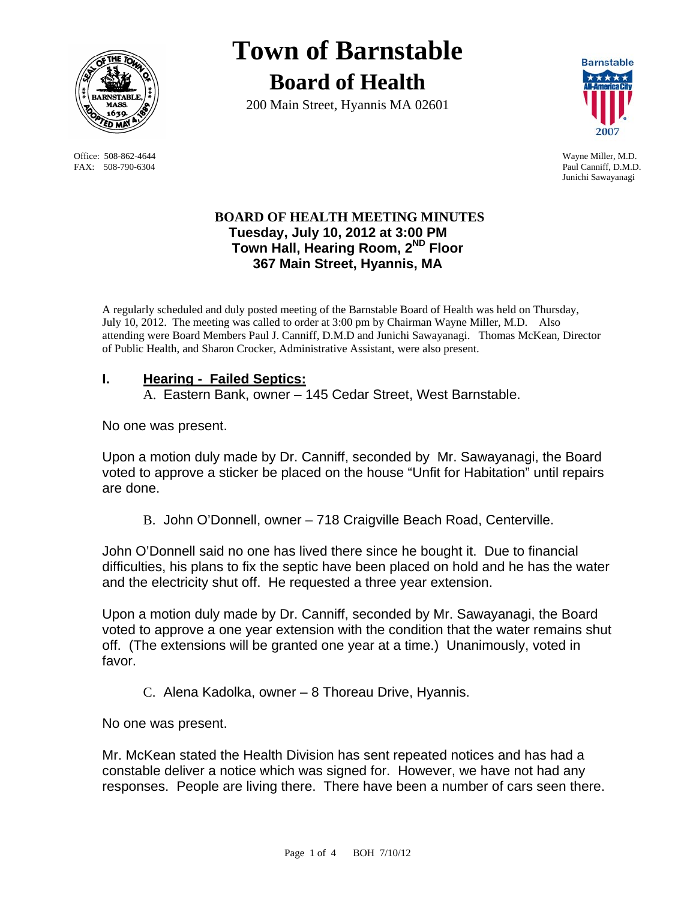

FAX: 508-790-6304 Paul Canniff, D.M.D.

# **Town of Barnstable Board of Health**

200 Main Street, Hyannis MA 02601



 Office: 508-862-4644 Wayne Miller, M.D. Junichi Sawayanagi

## **BOARD OF HEALTH MEETING MINUTES Tuesday, July 10, 2012 at 3:00 PM Town Hall, Hearing Room, 2ND Floor 367 Main Street, Hyannis, MA**

A regularly scheduled and duly posted meeting of the Barnstable Board of Health was held on Thursday, July 10, 2012. The meeting was called to order at 3:00 pm by Chairman Wayne Miller, M.D. Also attending were Board Members Paul J. Canniff, D.M.D and Junichi Sawayanagi. Thomas McKean, Director of Public Health, and Sharon Crocker, Administrative Assistant, were also present.

## **I. Hearing - Failed Septics:**

A. Eastern Bank, owner – 145 Cedar Street, West Barnstable.

No one was present.

Upon a motion duly made by Dr. Canniff, seconded by Mr. Sawayanagi, the Board voted to approve a sticker be placed on the house "Unfit for Habitation" until repairs are done.

B. John O'Donnell, owner – 718 Craigville Beach Road, Centerville.

John O'Donnell said no one has lived there since he bought it. Due to financial difficulties, his plans to fix the septic have been placed on hold and he has the water and the electricity shut off. He requested a three year extension.

Upon a motion duly made by Dr. Canniff, seconded by Mr. Sawayanagi, the Board voted to approve a one year extension with the condition that the water remains shut off. (The extensions will be granted one year at a time.) Unanimously, voted in favor.

C. Alena Kadolka, owner – 8 Thoreau Drive, Hyannis.

No one was present.

Mr. McKean stated the Health Division has sent repeated notices and has had a constable deliver a notice which was signed for. However, we have not had any responses. People are living there. There have been a number of cars seen there.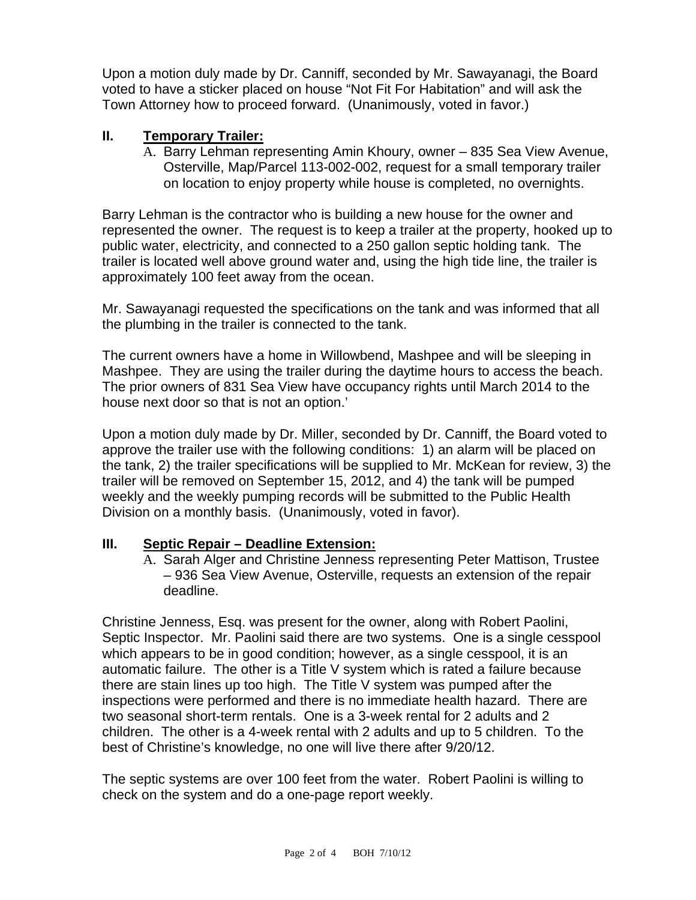Upon a motion duly made by Dr. Canniff, seconded by Mr. Sawayanagi, the Board voted to have a sticker placed on house "Not Fit For Habitation" and will ask the Town Attorney how to proceed forward. (Unanimously, voted in favor.)

## **II. Temporary Trailer:**

A. Barry Lehman representing Amin Khoury, owner – 835 Sea View Avenue, Osterville, Map/Parcel 113-002-002, request for a small temporary trailer on location to enjoy property while house is completed, no overnights.

Barry Lehman is the contractor who is building a new house for the owner and represented the owner. The request is to keep a trailer at the property, hooked up to public water, electricity, and connected to a 250 gallon septic holding tank. The trailer is located well above ground water and, using the high tide line, the trailer is approximately 100 feet away from the ocean.

Mr. Sawayanagi requested the specifications on the tank and was informed that all the plumbing in the trailer is connected to the tank.

The current owners have a home in Willowbend, Mashpee and will be sleeping in Mashpee. They are using the trailer during the daytime hours to access the beach. The prior owners of 831 Sea View have occupancy rights until March 2014 to the house next door so that is not an option.'

Upon a motion duly made by Dr. Miller, seconded by Dr. Canniff, the Board voted to approve the trailer use with the following conditions: 1) an alarm will be placed on the tank, 2) the trailer specifications will be supplied to Mr. McKean for review, 3) the trailer will be removed on September 15, 2012, and 4) the tank will be pumped weekly and the weekly pumping records will be submitted to the Public Health Division on a monthly basis. (Unanimously, voted in favor).

#### **III. Septic Repair – Deadline Extension:**

A. Sarah Alger and Christine Jenness representing Peter Mattison, Trustee – 936 Sea View Avenue, Osterville, requests an extension of the repair deadline.

Christine Jenness, Esq. was present for the owner, along with Robert Paolini, Septic Inspector. Mr. Paolini said there are two systems. One is a single cesspool which appears to be in good condition; however, as a single cesspool, it is an automatic failure. The other is a Title V system which is rated a failure because there are stain lines up too high. The Title V system was pumped after the inspections were performed and there is no immediate health hazard. There are two seasonal short-term rentals. One is a 3-week rental for 2 adults and 2 children. The other is a 4-week rental with 2 adults and up to 5 children. To the best of Christine's knowledge, no one will live there after 9/20/12.

The septic systems are over 100 feet from the water. Robert Paolini is willing to check on the system and do a one-page report weekly.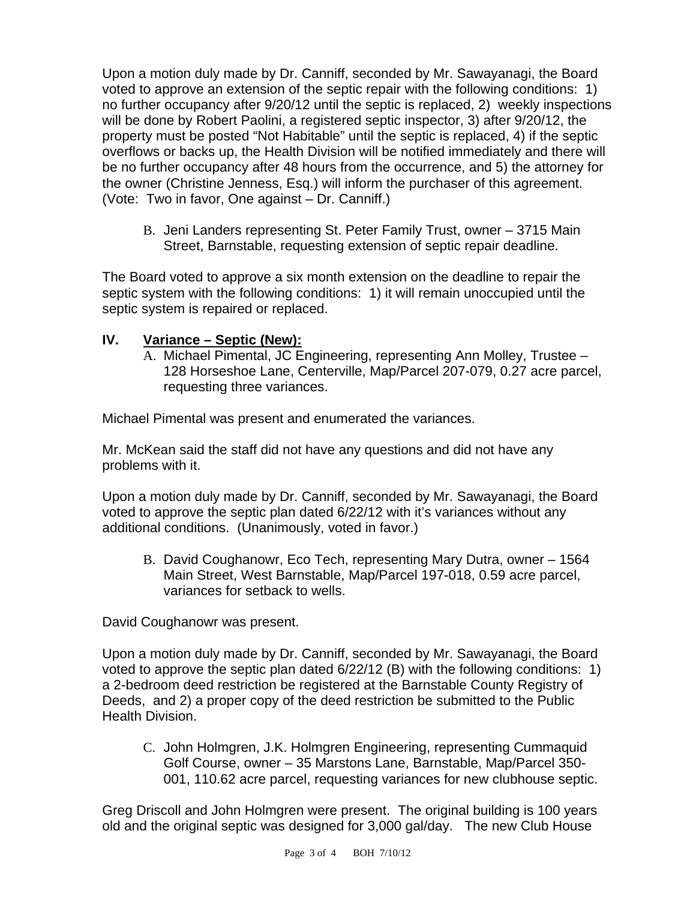Upon a motion duly made by Dr. Canniff, seconded by Mr. Sawayanagi, the Board voted to approve an extension of the septic repair with the following conditions: 1) no further occupancy after 9/20/12 until the septic is replaced, 2) weekly inspections will be done by Robert Paolini, a registered septic inspector, 3) after 9/20/12, the property must be posted "Not Habitable" until the septic is replaced, 4) if the septic overflows or backs up, the Health Division will be notified immediately and there will be no further occupancy after 48 hours from the occurrence, and 5) the attorney for the owner (Christine Jenness, Esq.) will inform the purchaser of this agreement. (Vote: Two in favor, One against – Dr. Canniff.)

B. Jeni Landers representing St. Peter Family Trust, owner – 3715 Main Street, Barnstable, requesting extension of septic repair deadline.

The Board voted to approve a six month extension on the deadline to repair the septic system with the following conditions: 1) it will remain unoccupied until the septic system is repaired or replaced.

## **IV. Variance – Septic (New):**

A. Michael Pimental, JC Engineering, representing Ann Molley, Trustee – 128 Horseshoe Lane, Centerville, Map/Parcel 207-079, 0.27 acre parcel, requesting three variances.

Michael Pimental was present and enumerated the variances.

Mr. McKean said the staff did not have any questions and did not have any problems with it.

Upon a motion duly made by Dr. Canniff, seconded by Mr. Sawayanagi, the Board voted to approve the septic plan dated 6/22/12 with it's variances without any additional conditions. (Unanimously, voted in favor.)

B. David Coughanowr, Eco Tech, representing Mary Dutra, owner – 1564 Main Street, West Barnstable, Map/Parcel 197-018, 0.59 acre parcel, variances for setback to wells.

David Coughanowr was present.

Upon a motion duly made by Dr. Canniff, seconded by Mr. Sawayanagi, the Board voted to approve the septic plan dated 6/22/12 (B) with the following conditions: 1) a 2-bedroom deed restriction be registered at the Barnstable County Registry of Deeds, and 2) a proper copy of the deed restriction be submitted to the Public Health Division.

C. John Holmgren, J.K. Holmgren Engineering, representing Cummaquid Golf Course, owner – 35 Marstons Lane, Barnstable, Map/Parcel 350- 001, 110.62 acre parcel, requesting variances for new clubhouse septic.

Greg Driscoll and John Holmgren were present. The original building is 100 years old and the original septic was designed for 3,000 gal/day. The new Club House